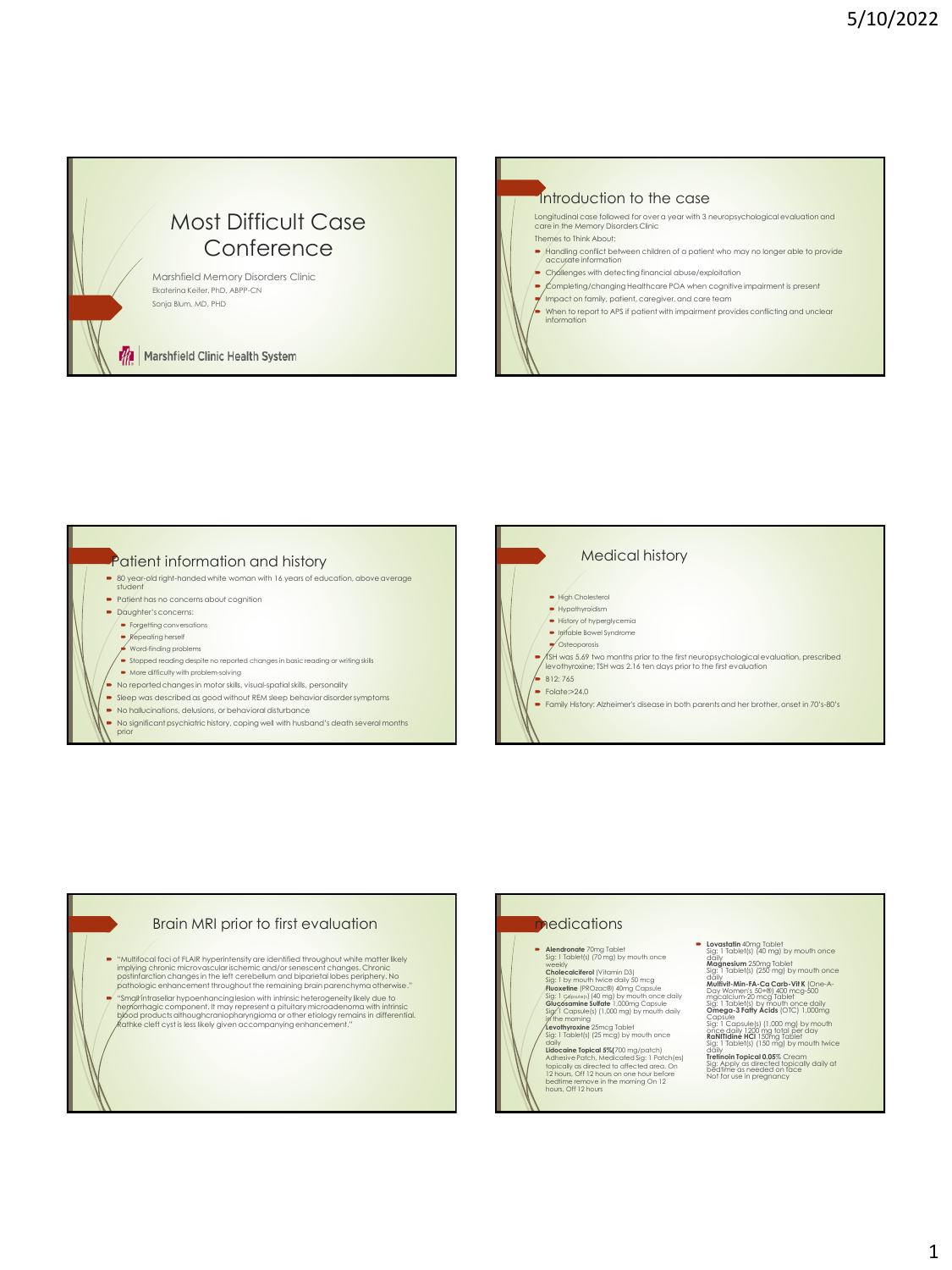# Most Difficult Case **Conference**

Marshfield Memory Disorders Clinic Ekaterina Keifer, PhD, ABPP-CN Sonja Blum, MD, PHD

Marshfield Clinic Health System







#### Brain MRI prior to first evaluation

- "Multifocal foci of FLAIR hyperintensity are identified throughout white matter likely <mark>implying chronic microvascular ischemic and/or senescent changes. Chronic</mark><br>postinfarction changes in the left cerebellum and biparietal lobes periphery. No<br>pathologic enhancement throughout the remaining brain parenchyma
- = "Small intrasellar hypoenhancing lesion with intrinsic heterogeneity likely due to<br>hypothropic component. It may represent a pituitary microadenoma with intrinsic<br>by lood products althoughcraniopharyngioma or other etiol

# **nedications Alendronate** 70mg Tablet Sig: 1 Tablet(s) (70 mg) by mouth once

weekly<br>Cholecalciferol (Vitamin D3)<br>Fluoxetine (PROzac®) 40mg Capsule<br>Fluoxetine (PROzac®) 40mg Capsule<br>Sig: 1 capsule(s) (40 mg) by mouth once daily<br>Sig/1 Capsule(s) (1,000 mg) by mouth daily<br>in the morning

**Levothyroxine** 25mcg Tablet Sig: 1 Tablet(s) (25 mcg) by mouth once

dally<br>
dally<br>
dalexcine Topical 5%(700 mg/patch)<br>
Adhesive Patch, Medicated Sig: 1 Patch(es)<br>
topically as directed to affected area. On<br>
12 hours, Off 12 hours on the morning On 12<br>
bedtime remove in the morning On 12<br>
ho

### **-** Lovastatin 40mg Tablet<br>Sig: 1 Tablet(s) (40 mg) by mouth once Sig: 1 Tablet(s) (40 mg) by mouth once<br>daily<br>**Magnesium** 250mg Tablet<br>Sig: 1 Tablet(s) (250 mg) by mouth once

daily<br>**Multivit-Min-FA-Ca Carb-Vit K** (One-A-<br>Day Women's 50+®) 400 mcg-500

mgcalcium-20 mcg Tablet<br>Sig: 1 Tablet(s) by mouth once daily<br>Capsule<br>Capsule sule(s) (I.000 mg) by mouth<br>Capsule<br>Capsule (Sellang) (I.000 mg) by mouth<br>Sendinglin HCl 130 mg) by mouth twice<br>Sig: 1 Tablet(s) (130 mg) by mout

**Tretinoin Topical 0.05**% Cream<br>Sig: Apply as directed topically daily at<br>bedtime as needed on face<br>Not for use in pregnancy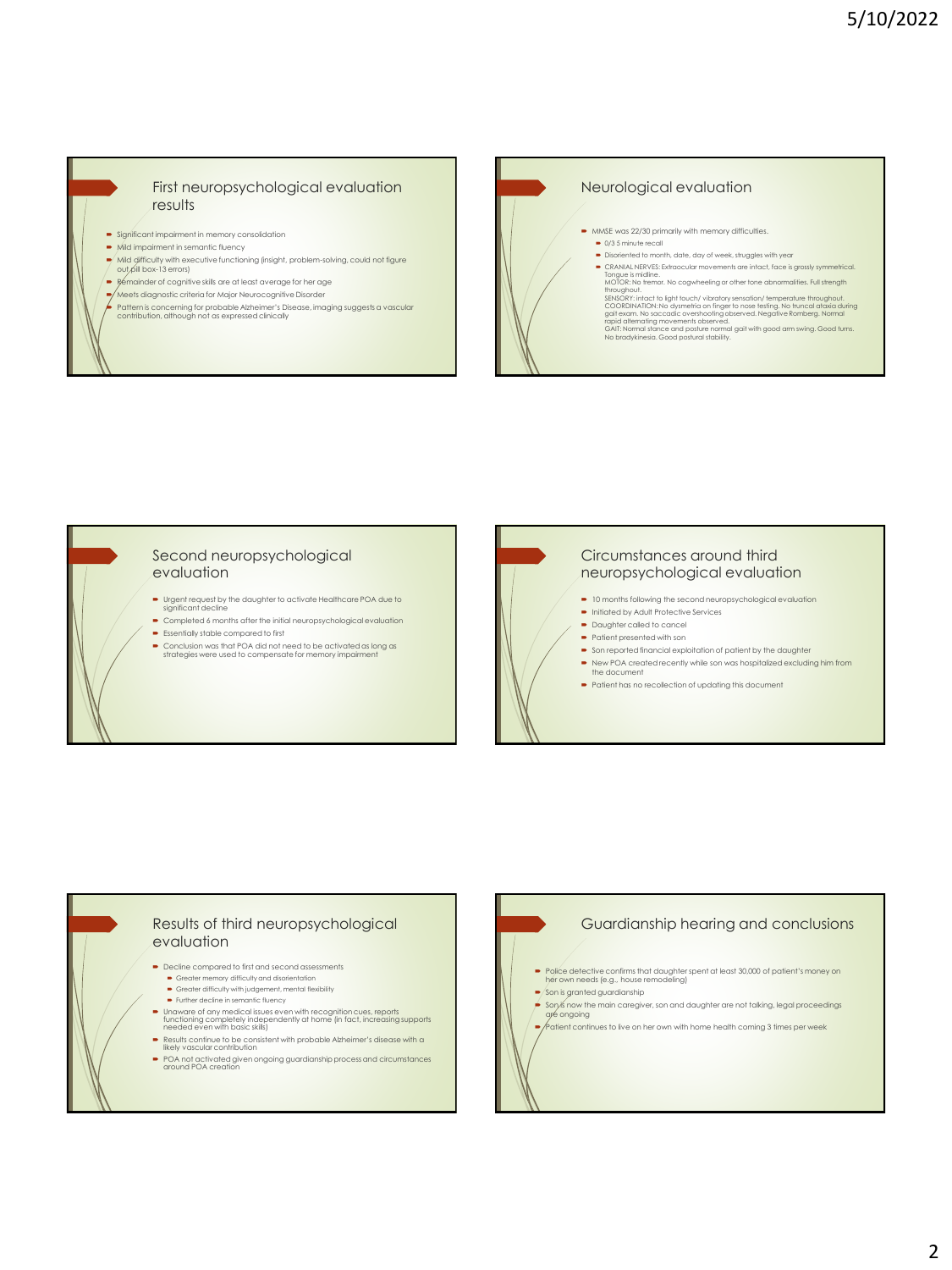#### First neuropsychological evaluation results

- Significant impairment in memory consolidation
- $\rightarrow$  Mild impairment in semantic fluency
- Mild difficulty with executive functioning (insight, problem-solving, could not figure out pill box-13 errors)
- Remainder of cognitive skills are at least average for her age
- Meets diagnostic criteria for Major Neurocognitive Disorder
- Pattern is concerning for probable Alzheimer's Disease, imaging suggests a vascular contribution, although not as expressed clinically



#### Second neuropsychological evaluation

- Urgent request by the daughter to activate Healthcare POA due to ignificant decline Completed 6 months after the initial neuropsychological evaluation
- **Essentially stable compared to first**
- Conclusion was that POA did not need to be activated as long as strategies were used to compensate for memory impairment

## Circumstances around third neuropsychological evaluation

- $\bullet$  10 months following the second neuropsychological evaluation
- **Initiated by Adult Protective Services** ■ Daughter called to cancel
- Patient presented with son
- Son reported financial exploitation of patient by the daughter
- New POA created recently while son was hospitalized excluding him from the document
- Patient has no recollection of updating this document

### Results of third neuropsychological evaluation

- Decline compared to first and second assessments
	- Greater memory difficulty and disorientation Greater difficulty with judgement, mental flexibility
	- Further decline in semantic fluency
	-
- Unaware of any medical issues even with recognition cues, reports functioning completely independently at home (in fact, increasing supports needed even with basic skills)
- Results continue to be consistent with probable Alzheimer's disease with a likely vascular contribution
- POA not activated given ongoing guardianship process and circumstances around POA creation

## Guardianship hearing and conclusions

- Police detective confirms that daughter spent at least 30,000 of patient's money on her own needs (e.g., house remodeling)
	- $\blacktriangleright$  Son is granted guardianship
- Son is now the main caregiver, son and daughter are not talking, legal proceedings are ongoing
- $\blacktriangleright$   $\blacktriangleright$   $\blacktriangleleft$  fatient continues to live on her own with home health coming 3 times per week